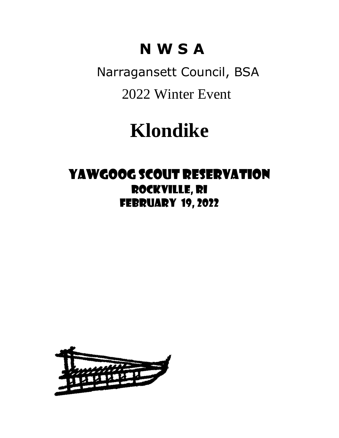# **N W S A**

 Narragansett Council, BSA 2022 Winter Event

# **Klondike**

### Yawgoog Scout Reservation Rockville, RI february 19, 2022

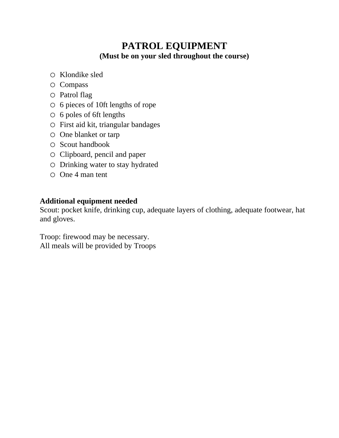### **PATROL EQUIPMENT (Must be on your sled throughout the course)**

- o Klondike sled
- o Compass
- o Patrol flag
- o 6 pieces of 10ft lengths of rope
- o 6 poles of 6ft lengths
- o First aid kit, triangular bandages
- o One blanket or tarp
- o Scout handbook
- o Clipboard, pencil and paper
- o Drinking water to stay hydrated
- o One 4 man tent

#### **Additional equipment needed**

Scout: pocket knife, drinking cup, adequate layers of clothing, adequate footwear, hat and gloves.

Troop: firewood may be necessary. All meals will be provided by Troops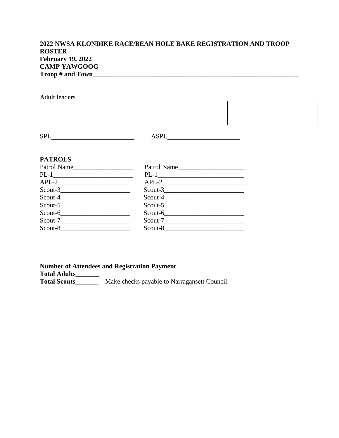#### **2022 NWSA KLONDIKE RACE/BEAN HOLE BAKE REGISTRATION AND TROOP ROSTER February 19, 2022 CAMP YAWGOOG Troop # and Town\_\_\_\_\_\_\_\_\_\_\_\_\_\_\_\_\_\_\_\_\_\_\_\_\_\_\_\_\_\_\_\_\_\_\_\_\_\_\_\_\_\_\_\_\_\_\_\_\_\_\_\_\_\_\_\_\_\_\_\_\_\_**

Adult leaders

| $\mathbf{r}$ and $\mathbf{r}$ are the set of the set of the set of the set of the set of the set of the set of the set of the set of the set of the set of the set of the set of the set of the set of the set of the set of the set |                                                                                                                                                                                                                               |  |
|--------------------------------------------------------------------------------------------------------------------------------------------------------------------------------------------------------------------------------------|-------------------------------------------------------------------------------------------------------------------------------------------------------------------------------------------------------------------------------|--|
|                                                                                                                                                                                                                                      |                                                                                                                                                                                                                               |  |
| and the control of the control of the control of the control of the control of the control of the control of the                                                                                                                     | the control of the control of the control of the control of the control of the control of the control of the control of the control of the control of the control of the control of the control of the control of the control |  |

 $\texttt{ASPL}\_\_\_\_\_\_\_\_$ 

#### **PATROLS**

| Patrol Name     | Patrol Name      |
|-----------------|------------------|
|                 | $PL-1$ <u>PL</u> |
| $APL-2$         |                  |
|                 | $Scout-3$        |
| $S\text{cut-}4$ | $Scout-4$        |
| $Scout-5$       | Scout-5          |
| Scout-6         | $S\text{cout-6}$ |
| $Scout-7$       | Scout-7          |
| Scout-8         | Scout-8          |

#### **Number of Attendees and Registration Payment**

**Total Adults\_\_\_\_\_\_\_**

**Total Scouts\_\_\_\_\_\_\_** Make checks payable to Narragansett Council.